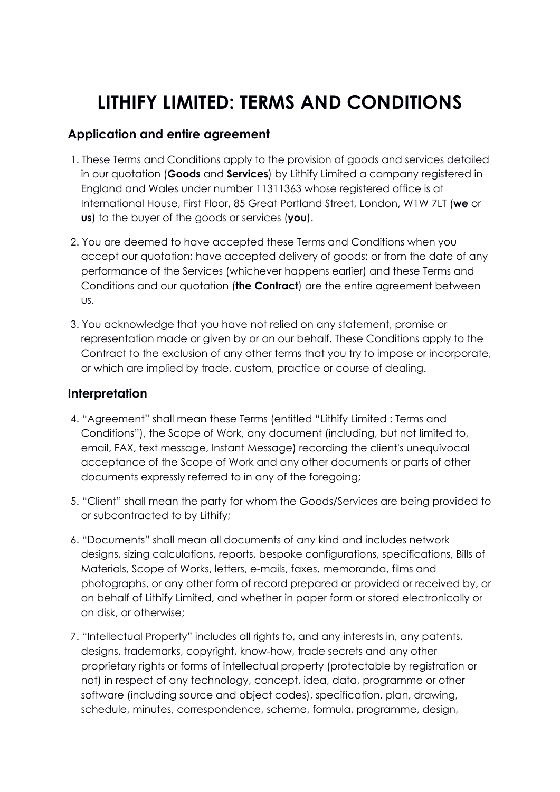# **LITHIFY LIMITED: TERMS AND CONDITIONS**

## **Application and entire agreement**

- 1. These Terms and Conditions apply to the provision of goods and services detailed in our quotation (**Goods** and **Services**) by Lithify Limited a company registered in England and Wales under number 11311363 whose registered office is at International House, First Floor, 85 Great Portland Street, London, W1W 7LT (**we** or **us**) to the buyer of the goods or services (**you**).
- 2. You are deemed to have accepted these Terms and Conditions when you accept our quotation; have accepted delivery of goods; or from the date of any performance of the Services (whichever happens earlier) and these Terms and Conditions and our quotation (**the Contract**) are the entire agreement between us.
- 3. You acknowledge that you have not relied on any statement, promise or representation made or given by or on our behalf. These Conditions apply to the Contract to the exclusion of any other terms that you try to impose or incorporate, or which are implied by trade, custom, practice or course of dealing.

## **Interpretation**

- 4. "Agreement" shall mean these Terms (entitled "Lithify Limited : Terms and Conditions"), the Scope of Work, any document (including, but not limited to, email, FAX, text message, Instant Message) recording the client's unequivocal acceptance of the Scope of Work and any other documents or parts of other documents expressly referred to in any of the foregoing;
- 5. "Client" shall mean the party for whom the Goods/Services are being provided to or subcontracted to by Lithify;
- 6. "Documents" shall mean all documents of any kind and includes network designs, sizing calculations, reports, bespoke configurations, specifications, Bills of Materials, Scope of Works, letters, e-mails, faxes, memoranda, films and photographs, or any other form of record prepared or provided or received by, or on behalf of Lithify Limited, and whether in paper form or stored electronically or on disk, or otherwise;
- 7. "Intellectual Property" includes all rights to, and any interests in, any patents, designs, trademarks, copyright, know-how, trade secrets and any other proprietary rights or forms of intellectual property (protectable by registration or not) in respect of any technology, concept, idea, data, programme or other software (including source and object codes), specification, plan, drawing, schedule, minutes, correspondence, scheme, formula, programme, design,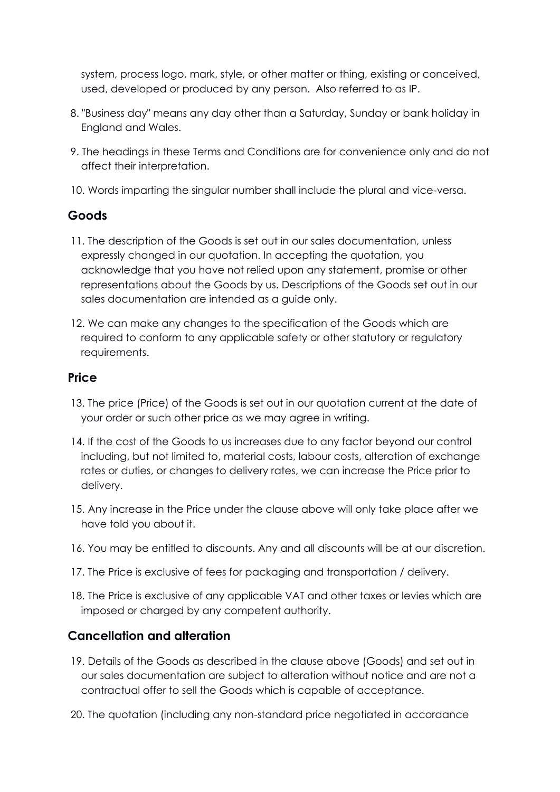system, process logo, mark, style, or other matter or thing, existing or conceived, used, developed or produced by any person. Also referred to as IP.

- 8. "Business day" means any day other than a Saturday, Sunday or bank holiday in England and Wales.
- 9. The headings in these Terms and Conditions are for convenience only and do not affect their interpretation.
- 10. Words imparting the singular number shall include the plural and vice-versa.

## **Goods**

- 11. The description of the Goods is set out in our sales documentation, unless expressly changed in our quotation. In accepting the quotation, you acknowledge that you have not relied upon any statement, promise or other representations about the Goods by us. Descriptions of the Goods set out in our sales documentation are intended as a guide only.
- 12. We can make any changes to the specification of the Goods which are required to conform to any applicable safety or other statutory or regulatory requirements.

#### **Price**

- 13. The price (Price) of the Goods is set out in our quotation current at the date of your order or such other price as we may agree in writing.
- 14. If the cost of the Goods to us increases due to any factor beyond our control including, but not limited to, material costs, labour costs, alteration of exchange rates or duties, or changes to delivery rates, we can increase the Price prior to delivery.
- 15. Any increase in the Price under the clause above will only take place after we have told you about it.
- 16. You may be entitled to discounts. Any and all discounts will be at our discretion.
- 17. The Price is exclusive of fees for packaging and transportation / delivery.
- 18. The Price is exclusive of any applicable VAT and other taxes or levies which are imposed or charged by any competent authority.

#### **Cancellation and alteration**

- 19. Details of the Goods as described in the clause above (Goods) and set out in our sales documentation are subject to alteration without notice and are not a contractual offer to sell the Goods which is capable of acceptance.
- 20. The quotation (including any non-standard price negotiated in accordance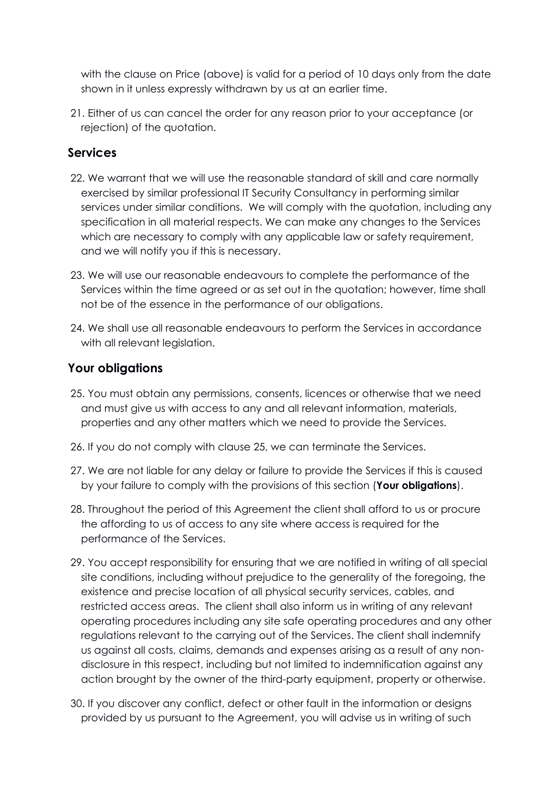with the clause on Price (above) is valid for a period of 10 days only from the date shown in it unless expressly withdrawn by us at an earlier time.

21. Either of us can cancel the order for any reason prior to your acceptance (or rejection) of the quotation.

## **Services**

- 22. We warrant that we will use the reasonable standard of skill and care normally exercised by similar professional IT Security Consultancy in performing similar services under similar conditions. We will comply with the quotation, including any specification in all material respects. We can make any changes to the Services which are necessary to comply with any applicable law or safety requirement, and we will notify you if this is necessary.
- 23. We will use our reasonable endeavours to complete the performance of the Services within the time agreed or as set out in the quotation; however, time shall not be of the essence in the performance of our obligations.
- 24. We shall use all reasonable endeavours to perform the Services in accordance with all relevant legislation.

#### **Your obligations**

- 25. You must obtain any permissions, consents, licences or otherwise that we need and must give us with access to any and all relevant information, materials, properties and any other matters which we need to provide the Services.
- 26. If you do not comply with clause 25, we can terminate the Services.
- 27. We are not liable for any delay or failure to provide the Services if this is caused by your failure to comply with the provisions of this section (**Your obligations**).
- 28. Throughout the period of this Agreement the client shall afford to us or procure the affording to us of access to any site where access is required for the performance of the Services.
- 29. You accept responsibility for ensuring that we are notified in writing of all special site conditions, including without prejudice to the generality of the foregoing, the existence and precise location of all physical security services, cables, and restricted access areas. The client shall also inform us in writing of any relevant operating procedures including any site safe operating procedures and any other regulations relevant to the carrying out of the Services. The client shall indemnify us against all costs, claims, demands and expenses arising as a result of any nondisclosure in this respect, including but not limited to indemnification against any action brought by the owner of the third-party equipment, property or otherwise.
- 30. If you discover any conflict, defect or other fault in the information or designs provided by us pursuant to the Agreement, you will advise us in writing of such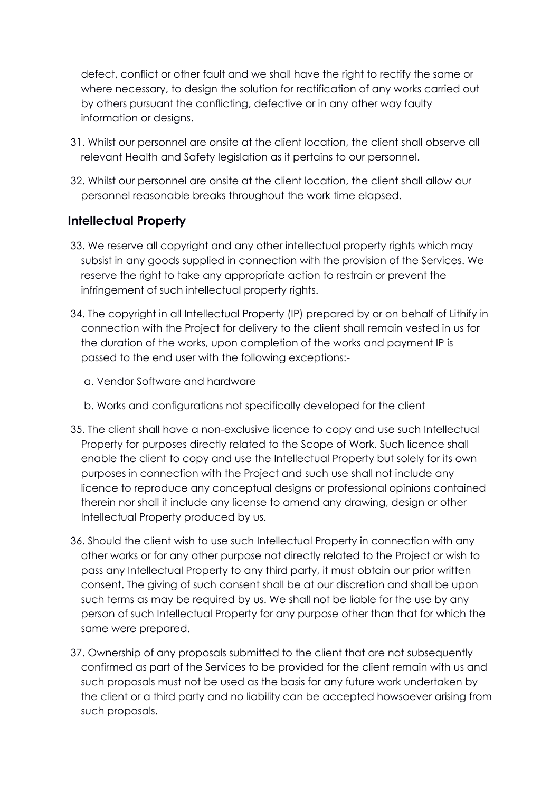defect, conflict or other fault and we shall have the right to rectify the same or where necessary, to design the solution for rectification of any works carried out by others pursuant the conflicting, defective or in any other way faulty information or designs.

- 31. Whilst our personnel are onsite at the client location, the client shall observe all relevant Health and Safety legislation as it pertains to our personnel.
- 32. Whilst our personnel are onsite at the client location, the client shall allow our personnel reasonable breaks throughout the work time elapsed.

## **Intellectual Property**

- 33. We reserve all copyright and any other intellectual property rights which may subsist in any goods supplied in connection with the provision of the Services. We reserve the right to take any appropriate action to restrain or prevent the infringement of such intellectual property rights.
- 34. The copyright in all Intellectual Property (IP) prepared by or on behalf of Lithify in connection with the Project for delivery to the client shall remain vested in us for the duration of the works, upon completion of the works and payment IP is passed to the end user with the following exceptions:
	- a. Vendor Software and hardware
	- b. Works and configurations not specifically developed for the client
- 35. The client shall have a non-exclusive licence to copy and use such Intellectual Property for purposes directly related to the Scope of Work. Such licence shall enable the client to copy and use the Intellectual Property but solely for its own purposes in connection with the Project and such use shall not include any licence to reproduce any conceptual designs or professional opinions contained therein nor shall it include any license to amend any drawing, design or other Intellectual Property produced by us.
- 36. Should the client wish to use such Intellectual Property in connection with any other works or for any other purpose not directly related to the Project or wish to pass any Intellectual Property to any third party, it must obtain our prior written consent. The giving of such consent shall be at our discretion and shall be upon such terms as may be required by us. We shall not be liable for the use by any person of such Intellectual Property for any purpose other than that for which the same were prepared.
- 37. Ownership of any proposals submitted to the client that are not subsequently confirmed as part of the Services to be provided for the client remain with us and such proposals must not be used as the basis for any future work undertaken by the client or a third party and no liability can be accepted howsoever arising from such proposals.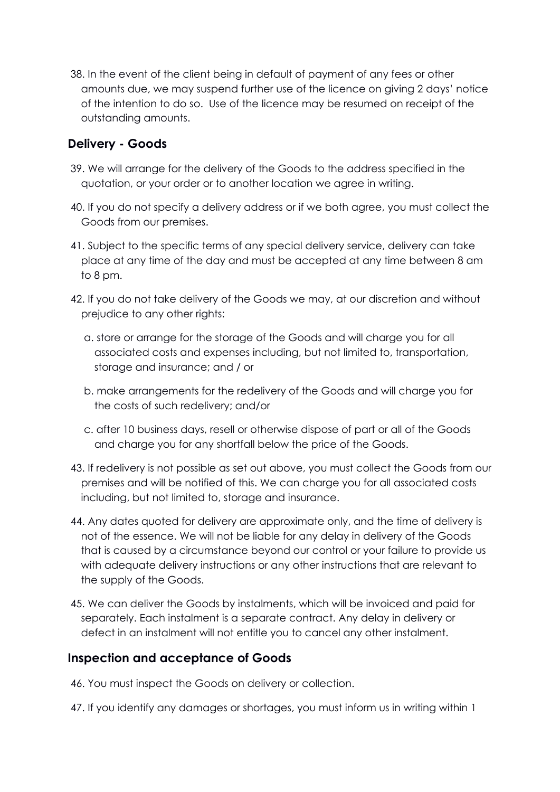38. In the event of the client being in default of payment of any fees or other amounts due, we may suspend further use of the licence on giving 2 days' notice of the intention to do so. Use of the licence may be resumed on receipt of the outstanding amounts.

## **Delivery - Goods**

- 39. We will arrange for the delivery of the Goods to the address specified in the quotation, or your order or to another location we agree in writing.
- 40. If you do not specify a delivery address or if we both agree, you must collect the Goods from our premises.
- 41. Subject to the specific terms of any special delivery service, delivery can take place at any time of the day and must be accepted at any time between 8 am to 8 pm.
- 42. If you do not take delivery of the Goods we may, at our discretion and without prejudice to any other rights:
	- a. store or arrange for the storage of the Goods and will charge you for all associated costs and expenses including, but not limited to, transportation, storage and insurance; and / or
	- b. make arrangements for the redelivery of the Goods and will charge you for the costs of such redelivery; and/or
	- c. after 10 business days, resell or otherwise dispose of part or all of the Goods and charge you for any shortfall below the price of the Goods.
- 43. If redelivery is not possible as set out above, you must collect the Goods from our premises and will be notified of this. We can charge you for all associated costs including, but not limited to, storage and insurance.
- 44. Any dates quoted for delivery are approximate only, and the time of delivery is not of the essence. We will not be liable for any delay in delivery of the Goods that is caused by a circumstance beyond our control or your failure to provide us with adequate delivery instructions or any other instructions that are relevant to the supply of the Goods.
- 45. We can deliver the Goods by instalments, which will be invoiced and paid for separately. Each instalment is a separate contract. Any delay in delivery or defect in an instalment will not entitle you to cancel any other instalment.

#### **Inspection and acceptance of Goods**

- 46. You must inspect the Goods on delivery or collection.
- 47. If you identify any damages or shortages, you must inform us in writing within 1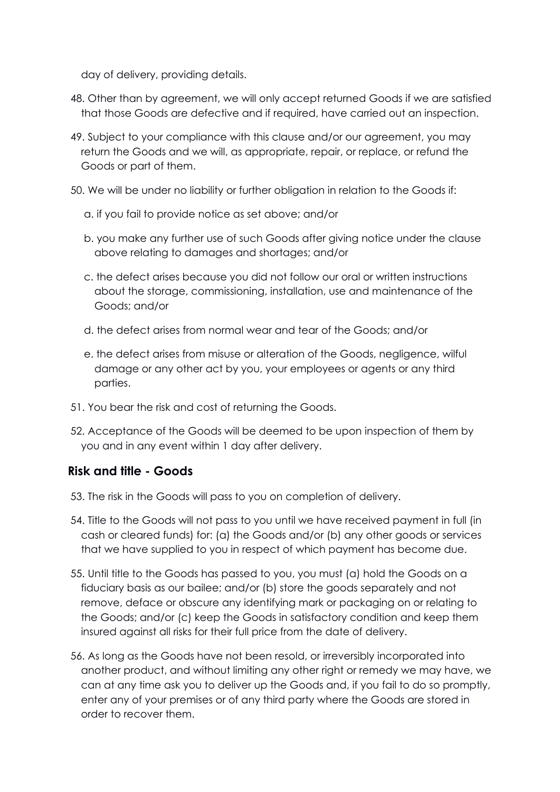day of delivery, providing details.

- 48. Other than by agreement, we will only accept returned Goods if we are satisfied that those Goods are defective and if required, have carried out an inspection.
- 49. Subject to your compliance with this clause and/or our agreement, you may return the Goods and we will, as appropriate, repair, or replace, or refund the Goods or part of them.
- 50. We will be under no liability or further obligation in relation to the Goods if:
	- a. if you fail to provide notice as set above; and/or
	- b. you make any further use of such Goods after giving notice under the clause above relating to damages and shortages; and/or
	- c. the defect arises because you did not follow our oral or written instructions about the storage, commissioning, installation, use and maintenance of the Goods; and/or
	- d. the defect arises from normal wear and tear of the Goods; and/or
	- e. the defect arises from misuse or alteration of the Goods, negligence, wilful damage or any other act by you, your employees or agents or any third parties.
- 51. You bear the risk and cost of returning the Goods.
- 52. Acceptance of the Goods will be deemed to be upon inspection of them by you and in any event within 1 day after delivery.

#### **Risk and title - Goods**

- 53. The risk in the Goods will pass to you on completion of delivery.
- 54. Title to the Goods will not pass to you until we have received payment in full (in cash or cleared funds) for: (a) the Goods and/or (b) any other goods or services that we have supplied to you in respect of which payment has become due.
- 55. Until title to the Goods has passed to you, you must (a) hold the Goods on a fiduciary basis as our bailee; and/or (b) store the goods separately and not remove, deface or obscure any identifying mark or packaging on or relating to the Goods; and/or (c) keep the Goods in satisfactory condition and keep them insured against all risks for their full price from the date of delivery.
- 56. As long as the Goods have not been resold, or irreversibly incorporated into another product, and without limiting any other right or remedy we may have, we can at any time ask you to deliver up the Goods and, if you fail to do so promptly, enter any of your premises or of any third party where the Goods are stored in order to recover them.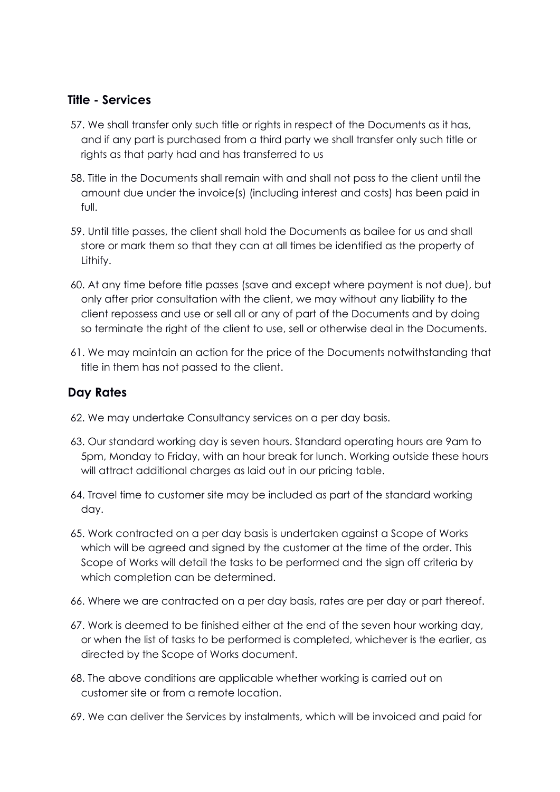#### **Title - Services**

- 57. We shall transfer only such title or rights in respect of the Documents as it has, and if any part is purchased from a third party we shall transfer only such title or rights as that party had and has transferred to us
- 58. Title in the Documents shall remain with and shall not pass to the client until the amount due under the invoice(s) (including interest and costs) has been paid in full.
- 59. Until title passes, the client shall hold the Documents as bailee for us and shall store or mark them so that they can at all times be identified as the property of Lithify.
- 60. At any time before title passes (save and except where payment is not due), but only after prior consultation with the client, we may without any liability to the client repossess and use or sell all or any of part of the Documents and by doing so terminate the right of the client to use, sell or otherwise deal in the Documents.
- 61. We may maintain an action for the price of the Documents notwithstanding that title in them has not passed to the client.

#### **Day Rates**

- 62. We may undertake Consultancy services on a per day basis.
- 63. Our standard working day is seven hours. Standard operating hours are 9am to 5pm, Monday to Friday, with an hour break for lunch. Working outside these hours will attract additional charges as laid out in our pricing table.
- 64. Travel time to customer site may be included as part of the standard working day.
- 65. Work contracted on a per day basis is undertaken against a Scope of Works which will be agreed and signed by the customer at the time of the order. This Scope of Works will detail the tasks to be performed and the sign off criteria by which completion can be determined.
- 66. Where we are contracted on a per day basis, rates are per day or part thereof.
- 67. Work is deemed to be finished either at the end of the seven hour working day, or when the list of tasks to be performed is completed, whichever is the earlier, as directed by the Scope of Works document.
- 68. The above conditions are applicable whether working is carried out on customer site or from a remote location.
- 69. We can deliver the Services by instalments, which will be invoiced and paid for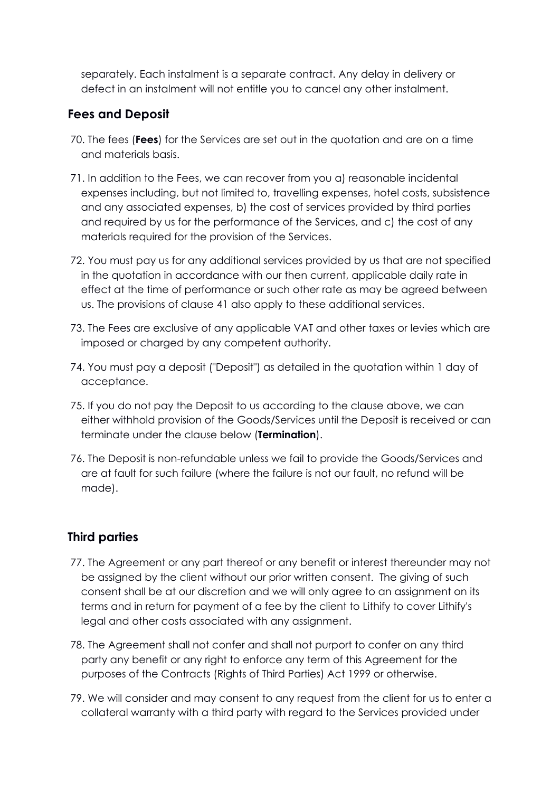separately. Each instalment is a separate contract. Any delay in delivery or defect in an instalment will not entitle you to cancel any other instalment.

## **Fees and Deposit**

- 70. The fees (**Fees**) for the Services are set out in the quotation and are on a time and materials basis.
- 71. In addition to the Fees, we can recover from you a) reasonable incidental expenses including, but not limited to, travelling expenses, hotel costs, subsistence and any associated expenses, b) the cost of services provided by third parties and required by us for the performance of the Services, and c) the cost of any materials required for the provision of the Services.
- 72. You must pay us for any additional services provided by us that are not specified in the quotation in accordance with our then current, applicable daily rate in effect at the time of performance or such other rate as may be agreed between us. The provisions of clause 41 also apply to these additional services.
- 73. The Fees are exclusive of any applicable VAT and other taxes or levies which are imposed or charged by any competent authority.
- 74. You must pay a deposit ("Deposit") as detailed in the quotation within 1 day of acceptance.
- 75. If you do not pay the Deposit to us according to the clause above, we can either withhold provision of the Goods/Services until the Deposit is received or can terminate under the clause below (**Termination**).
- 76. The Deposit is non-refundable unless we fail to provide the Goods/Services and are at fault for such failure (where the failure is not our fault, no refund will be made).

#### **Third parties**

- 77. The Agreement or any part thereof or any benefit or interest thereunder may not be assigned by the client without our prior written consent. The giving of such consent shall be at our discretion and we will only agree to an assignment on its terms and in return for payment of a fee by the client to Lithify to cover Lithify's legal and other costs associated with any assignment.
- 78. The Agreement shall not confer and shall not purport to confer on any third party any benefit or any right to enforce any term of this Agreement for the purposes of the Contracts (Rights of Third Parties) Act 1999 or otherwise.
- 79. We will consider and may consent to any request from the client for us to enter a collateral warranty with a third party with regard to the Services provided under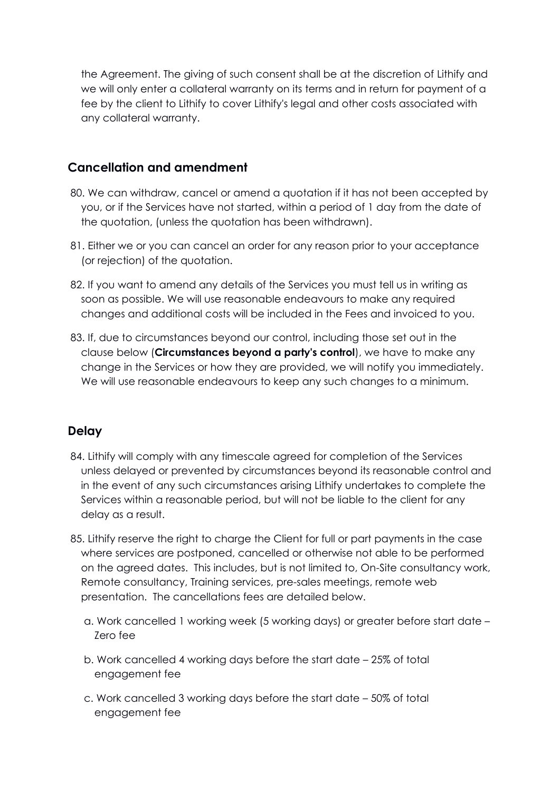the Agreement. The giving of such consent shall be at the discretion of Lithify and we will only enter a collateral warranty on its terms and in return for payment of a fee by the client to Lithify to cover Lithify's legal and other costs associated with any collateral warranty.

## **Cancellation and amendment**

- 80. We can withdraw, cancel or amend a quotation if it has not been accepted by you, or if the Services have not started, within a period of 1 day from the date of the quotation, (unless the quotation has been withdrawn).
- 81. Either we or you can cancel an order for any reason prior to your acceptance (or rejection) of the quotation.
- 82. If you want to amend any details of the Services you must tell us in writing as soon as possible. We will use reasonable endeavours to make any required changes and additional costs will be included in the Fees and invoiced to you.
- 83. If, due to circumstances beyond our control, including those set out in the clause below (**Circumstances beyond a party's control**), we have to make any change in the Services or how they are provided, we will notify you immediately. We will use reasonable endeavours to keep any such changes to a minimum.

# **Delay**

- 84. Lithify will comply with any timescale agreed for completion of the Services unless delayed or prevented by circumstances beyond its reasonable control and in the event of any such circumstances arising Lithify undertakes to complete the Services within a reasonable period, but will not be liable to the client for any delay as a result.
- 85. Lithify reserve the right to charge the Client for full or part payments in the case where services are postponed, cancelled or otherwise not able to be performed on the agreed dates. This includes, but is not limited to, On-Site consultancy work, Remote consultancy, Training services, pre-sales meetings, remote web presentation. The cancellations fees are detailed below.
	- a. Work cancelled 1 working week (5 working days) or greater before start date Zero fee
	- b. Work cancelled 4 working days before the start date 25% of total engagement fee
	- c. Work cancelled 3 working days before the start date 50% of total engagement fee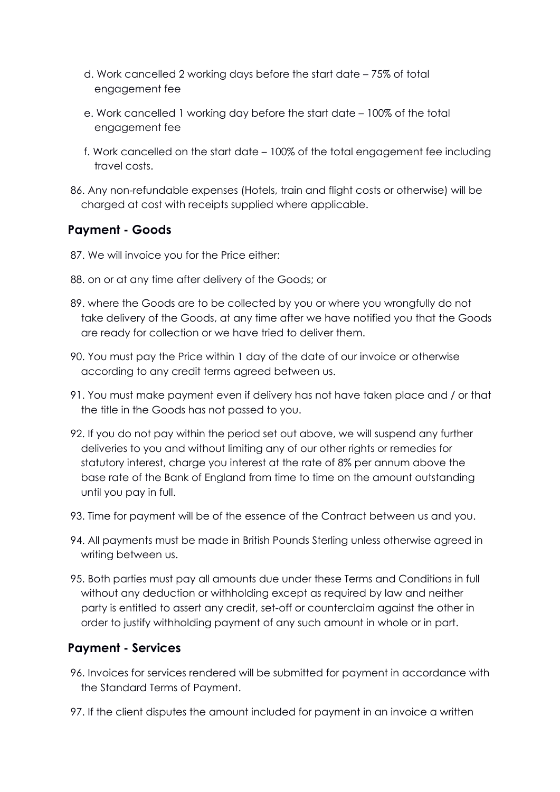- d. Work cancelled 2 working days before the start date 75% of total engagement fee
- e. Work cancelled 1 working day before the start date 100% of the total engagement fee
- f. Work cancelled on the start date 100% of the total engagement fee including travel costs.
- 86. Any non-refundable expenses (Hotels, train and flight costs or otherwise) will be charged at cost with receipts supplied where applicable.

## **Payment - Goods**

- 87. We will invoice you for the Price either:
- 88. on or at any time after delivery of the Goods; or
- 89. where the Goods are to be collected by you or where you wrongfully do not take delivery of the Goods, at any time after we have notified you that the Goods are ready for collection or we have tried to deliver them.
- 90. You must pay the Price within 1 day of the date of our invoice or otherwise according to any credit terms agreed between us.
- 91. You must make payment even if delivery has not have taken place and / or that the title in the Goods has not passed to you.
- 92. If you do not pay within the period set out above, we will suspend any further deliveries to you and without limiting any of our other rights or remedies for statutory interest, charge you interest at the rate of 8% per annum above the base rate of the Bank of England from time to time on the amount outstanding until you pay in full.
- 93. Time for payment will be of the essence of the Contract between us and you.
- 94. All payments must be made in British Pounds Sterling unless otherwise agreed in writing between us.
- 95. Both parties must pay all amounts due under these Terms and Conditions in full without any deduction or withholding except as required by law and neither party is entitled to assert any credit, set-off or counterclaim against the other in order to justify withholding payment of any such amount in whole or in part.

#### **Payment - Services**

- 96. Invoices for services rendered will be submitted for payment in accordance with the Standard Terms of Payment.
- 97. If the client disputes the amount included for payment in an invoice a written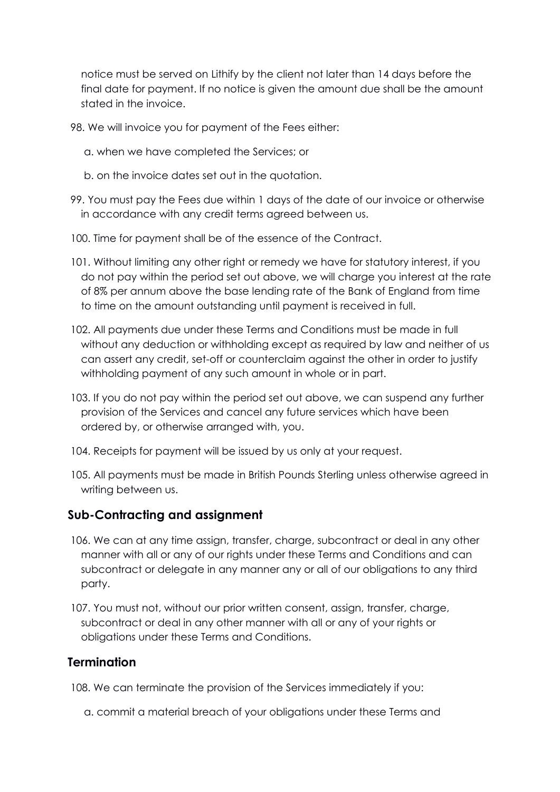notice must be served on Lithify by the client not later than 14 days before the final date for payment. If no notice is given the amount due shall be the amount stated in the invoice.

- 98. We will invoice you for payment of the Fees either:
	- a. when we have completed the Services; or
	- b. on the invoice dates set out in the quotation.
- 99. You must pay the Fees due within 1 days of the date of our invoice or otherwise in accordance with any credit terms agreed between us.
- 100. Time for payment shall be of the essence of the Contract.
- 101. Without limiting any other right or remedy we have for statutory interest, if you do not pay within the period set out above, we will charge you interest at the rate of 8% per annum above the base lending rate of the Bank of England from time to time on the amount outstanding until payment is received in full.
- 102. All payments due under these Terms and Conditions must be made in full without any deduction or withholding except as required by law and neither of us can assert any credit, set-off or counterclaim against the other in order to justify withholding payment of any such amount in whole or in part.
- 103. If you do not pay within the period set out above, we can suspend any further provision of the Services and cancel any future services which have been ordered by, or otherwise arranged with, you.
- 104. Receipts for payment will be issued by us only at your request.
- 105. All payments must be made in British Pounds Sterling unless otherwise agreed in writing between us.

#### **Sub-Contracting and assignment**

- 106. We can at any time assign, transfer, charge, subcontract or deal in any other manner with all or any of our rights under these Terms and Conditions and can subcontract or delegate in any manner any or all of our obligations to any third party.
- 107. You must not, without our prior written consent, assign, transfer, charge, subcontract or deal in any other manner with all or any of your rights or obligations under these Terms and Conditions.

#### **Termination**

108. We can terminate the provision of the Services immediately if you:

a. commit a material breach of your obligations under these Terms and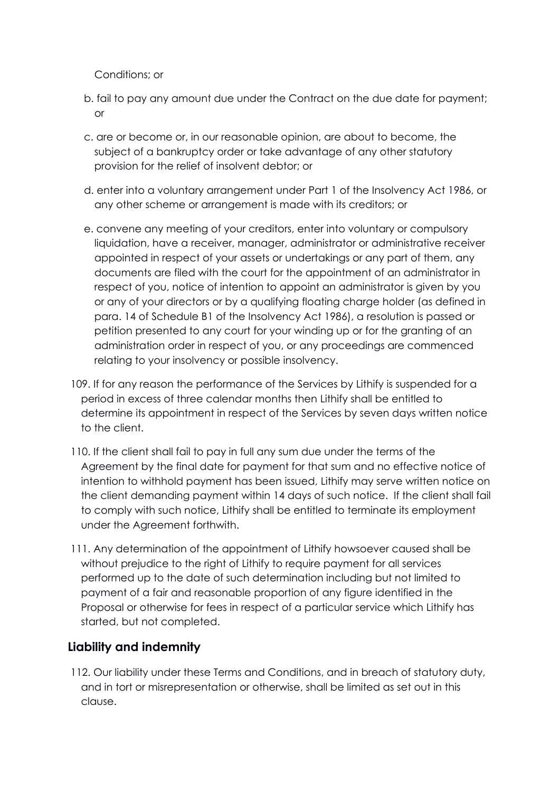Conditions; or

- b. fail to pay any amount due under the Contract on the due date for payment; or
- c. are or become or, in our reasonable opinion, are about to become, the subject of a bankruptcy order or take advantage of any other statutory provision for the relief of insolvent debtor; or
- d. enter into a voluntary arrangement under Part 1 of the Insolvency Act 1986, or any other scheme or arrangement is made with its creditors; or
- e. convene any meeting of your creditors, enter into voluntary or compulsory liquidation, have a receiver, manager, administrator or administrative receiver appointed in respect of your assets or undertakings or any part of them, any documents are filed with the court for the appointment of an administrator in respect of you, notice of intention to appoint an administrator is given by you or any of your directors or by a qualifying floating charge holder (as defined in para. 14 of Schedule B1 of the Insolvency Act 1986), a resolution is passed or petition presented to any court for your winding up or for the granting of an administration order in respect of you, or any proceedings are commenced relating to your insolvency or possible insolvency.
- 109. If for any reason the performance of the Services by Lithify is suspended for a period in excess of three calendar months then Lithify shall be entitled to determine its appointment in respect of the Services by seven days written notice to the client.
- 110. If the client shall fail to pay in full any sum due under the terms of the Agreement by the final date for payment for that sum and no effective notice of intention to withhold payment has been issued, Lithify may serve written notice on the client demanding payment within 14 days of such notice. If the client shall fail to comply with such notice, Lithify shall be entitled to terminate its employment under the Agreement forthwith.
- 111. Any determination of the appointment of Lithify howsoever caused shall be without prejudice to the right of Lithify to require payment for all services performed up to the date of such determination including but not limited to payment of a fair and reasonable proportion of any figure identified in the Proposal or otherwise for fees in respect of a particular service which Lithify has started, but not completed.

# **Liability and indemnity**

112. Our liability under these Terms and Conditions, and in breach of statutory duty, and in tort or misrepresentation or otherwise, shall be limited as set out in this clause.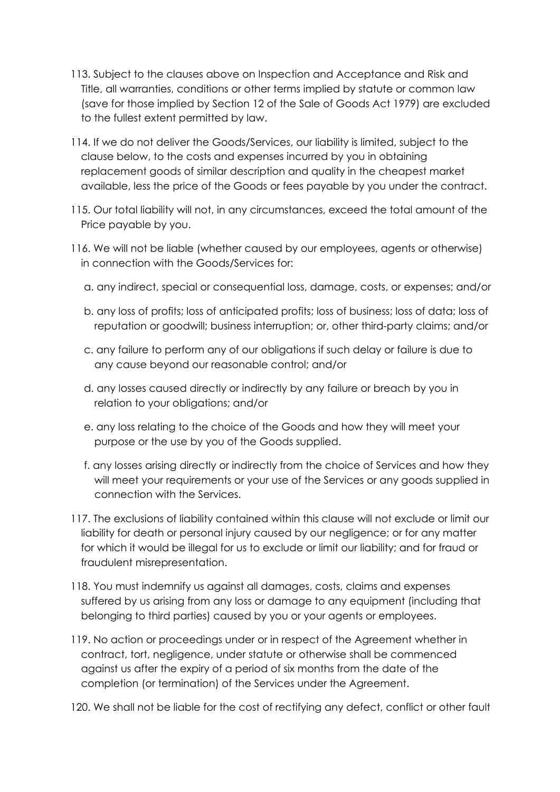- 113. Subject to the clauses above on Inspection and Acceptance and Risk and Title, all warranties, conditions or other terms implied by statute or common law (save for those implied by Section 12 of the Sale of Goods Act 1979) are excluded to the fullest extent permitted by law.
- 114. If we do not deliver the Goods/Services, our liability is limited, subject to the clause below, to the costs and expenses incurred by you in obtaining replacement goods of similar description and quality in the cheapest market available, less the price of the Goods or fees payable by you under the contract.
- 115. Our total liability will not, in any circumstances, exceed the total amount of the Price payable by you.
- 116. We will not be liable (whether caused by our employees, agents or otherwise) in connection with the Goods/Services for:
	- a. any indirect, special or consequential loss, damage, costs, or expenses; and/or
	- b. any loss of profits; loss of anticipated profits; loss of business; loss of data; loss of reputation or goodwill; business interruption; or, other third-party claims; and/or
	- c. any failure to perform any of our obligations if such delay or failure is due to any cause beyond our reasonable control; and/or
	- d. any losses caused directly or indirectly by any failure or breach by you in relation to your obligations; and/or
	- e. any loss relating to the choice of the Goods and how they will meet your purpose or the use by you of the Goods supplied.
	- f. any losses arising directly or indirectly from the choice of Services and how they will meet your requirements or your use of the Services or any goods supplied in connection with the Services.
- 117. The exclusions of liability contained within this clause will not exclude or limit our liability for death or personal injury caused by our negligence; or for any matter for which it would be illegal for us to exclude or limit our liability; and for fraud or fraudulent misrepresentation.
- 118. You must indemnify us against all damages, costs, claims and expenses suffered by us arising from any loss or damage to any equipment (including that belonging to third parties) caused by you or your agents or employees.
- 119. No action or proceedings under or in respect of the Agreement whether in contract, tort, negligence, under statute or otherwise shall be commenced against us after the expiry of a period of six months from the date of the completion (or termination) of the Services under the Agreement.
- 120. We shall not be liable for the cost of rectifying any defect, conflict or other fault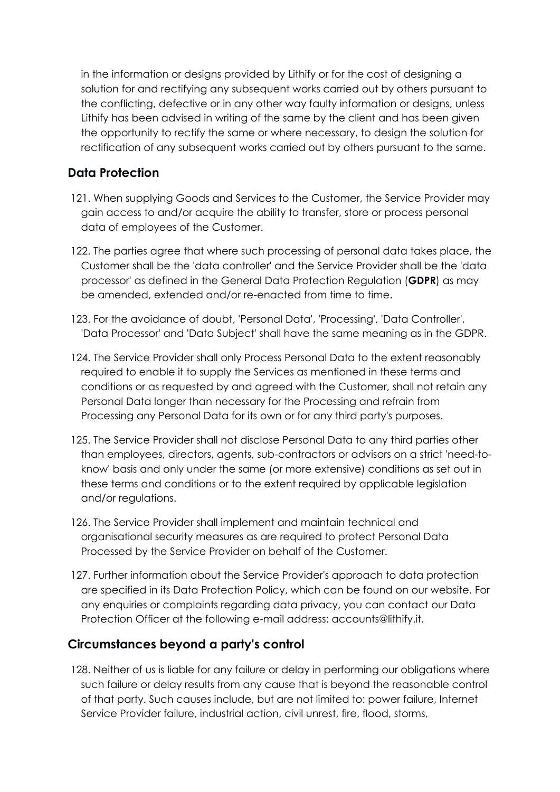in the information or designs provided by Lithify or for the cost of designing a solution for and rectifying any subsequent works carried out by others pursuant to the conflicting, defective or in any other way faulty information or designs, unless Lithify has been advised in writing of the same by the client and has been given the opportunity to rectify the same or where necessary, to design the solution for rectification of any subsequent works carried out by others pursuant to the same.

## **Data Protection**

- 121. When supplying Goods and Services to the Customer, the Service Provider may gain access to and/or acquire the ability to transfer, store or process personal data of employees of the Customer.
- 122. The parties agree that where such processing of personal data takes place, the Customer shall be the 'data controller' and the Service Provider shall be the 'data processor' as defined in the General Data Protection Regulation (**GDPR**) as may be amended, extended and/or re-enacted from time to time.
- 123. For the avoidance of doubt, 'Personal Data', 'Processing', 'Data Controller', 'Data Processor' and 'Data Subject' shall have the same meaning as in the GDPR.
- 124. The Service Provider shall only Process Personal Data to the extent reasonably required to enable it to supply the Services as mentioned in these terms and conditions or as requested by and agreed with the Customer, shall not retain any Personal Data longer than necessary for the Processing and refrain from Processing any Personal Data for its own or for any third party's purposes.
- 125. The Service Provider shall not disclose Personal Data to any third parties other than employees, directors, agents, sub-contractors or advisors on a strict 'need-toknow' basis and only under the same (or more extensive) conditions as set out in these terms and conditions or to the extent required by applicable legislation and/or regulations.
- 126. The Service Provider shall implement and maintain technical and organisational security measures as are required to protect Personal Data Processed by the Service Provider on behalf of the Customer.
- 127. Further information about the Service Provider's approach to data protection are specified in its Data Protection Policy, which can be found on our website. For any enquiries or complaints regarding data privacy, you can contact our Data Protection Officer at the following e-mail address: accounts@lithify.it.

#### **Circumstances beyond a party's control**

128. Neither of us is liable for any failure or delay in performing our obligations where such failure or delay results from any cause that is beyond the reasonable control of that party. Such causes include, but are not limited to: power failure, Internet Service Provider failure, industrial action, civil unrest, fire, flood, storms,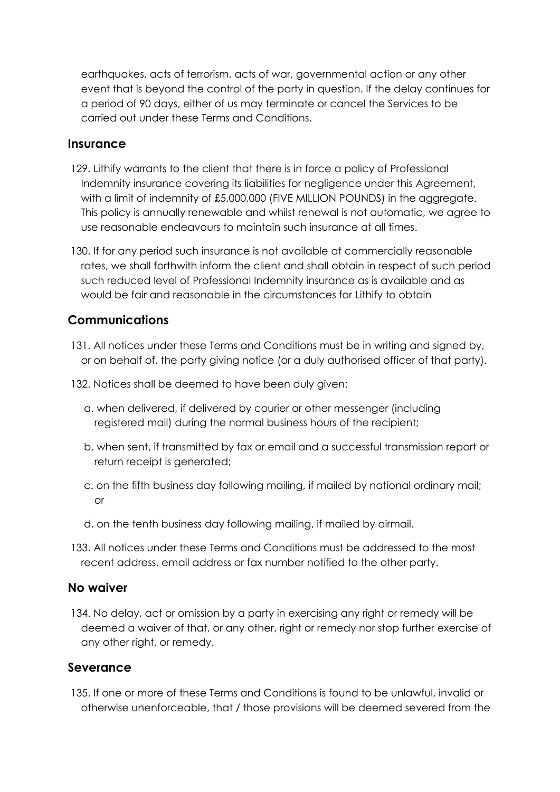earthquakes, acts of terrorism, acts of war, governmental action or any other event that is beyond the control of the party in question. If the delay continues for a period of 90 days, either of us may terminate or cancel the Services to be carried out under these Terms and Conditions.

#### **Insurance**

- 129. Lithify warrants to the client that there is in force a policy of Professional Indemnity insurance covering its liabilities for negligence under this Agreement, with a limit of indemnity of £5,000,000 (FIVE MILLION POUNDS) in the aggregate. This policy is annually renewable and whilst renewal is not automatic, we agree to use reasonable endeavours to maintain such insurance at all times.
- 130. If for any period such insurance is not available at commercially reasonable rates, we shall forthwith inform the client and shall obtain in respect of such period such reduced level of Professional Indemnity insurance as is available and as would be fair and reasonable in the circumstances for Lithify to obtain

#### **Communications**

- 131. All notices under these Terms and Conditions must be in writing and signed by, or on behalf of, the party giving notice (or a duly authorised officer of that party).
- 132. Notices shall be deemed to have been duly given:
	- a. when delivered, if delivered by courier or other messenger (including registered mail) during the normal business hours of the recipient;
	- b. when sent, if transmitted by fax or email and a successful transmission report or return receipt is generated;
	- c. on the fifth business day following mailing, if mailed by national ordinary mail; or
	- d. on the tenth business day following mailing, if mailed by airmail.
- 133. All notices under these Terms and Conditions must be addressed to the most recent address, email address or fax number notified to the other party.

#### **No waiver**

134. No delay, act or omission by a party in exercising any right or remedy will be deemed a waiver of that, or any other, right or remedy nor stop further exercise of any other right, or remedy.

#### **Severance**

135. If one or more of these Terms and Conditions is found to be unlawful, invalid or otherwise unenforceable, that / those provisions will be deemed severed from the